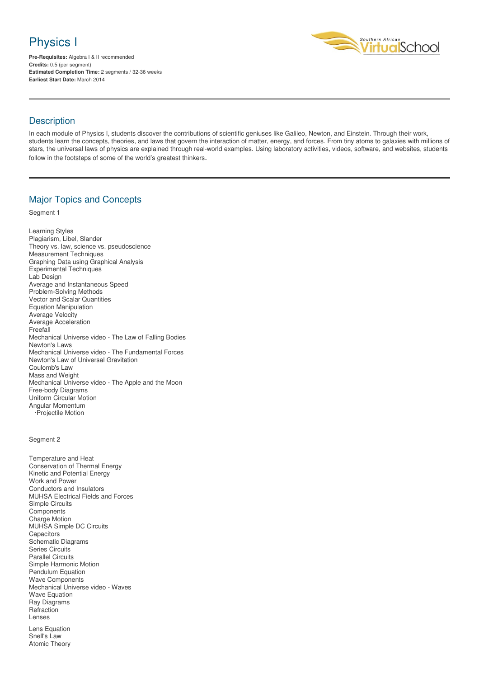# Physics I

**Pre-Requisites:** Algebra I & II recommended **Credits:** 0.5 (per segment) **Estimated Completion Time:** 2 segments / 32-36 weeks **Earliest Start Date:** March 2014



### **Description**

In each module of Physics I, students discover the contributions of scientific geniuses like Galileo, Newton, and Einstein. Through their work, students learn the concepts, theories, and laws that govern the interaction of matter, energy, and forces. From tiny atoms to galaxies with millions of stars, the universal laws of physics are explained through real-world examples. Using laboratory activities, videos, software, and websites, students follow in the footsteps of some of the world's greatest thinkers.

## Major Topics and Concepts

Segment 1

Learning Styles Plagiarism, Libel, Slander Theory vs. law, science vs. pseudoscience Measurement Techniques Graphing Data using Graphical Analysis Experimental Techniques Lab Design Average and Instantaneous Speed Problem-Solving Methods Vector and Scalar Quantities Equation Manipulation Average Velocity Average Acceleration Freefall Mechanical Universe video - The Law of Falling Bodies Newton's Laws Mechanical Universe video - The Fundamental Forces Newton's Law of Universal Gravitation Coulomb's Law Mass and Weight Mechanical Universe video - The Apple and the Moon Free-body Diagrams Uniform Circular Motion Angular Momentum ·Projectile Motion

#### Segment 2

- Temperature and Heat Conservation of Thermal Energy Kinetic and Potential Energy Work and Power Conductors and Insulators MUHSA Electrical Fields and Forces Simple Circuits Components Charge Motion MUHSA Simple DC Circuits **Capacitors** Schematic Diagrams Series Circuits Parallel Circuits Simple Harmonic Motion Pendulum Equation Wave Components Mechanical Universe video - Waves Wave Equation Ray Diagrams **Refraction** Lenses Lens Equation
- Snell's Law Atomic Theory